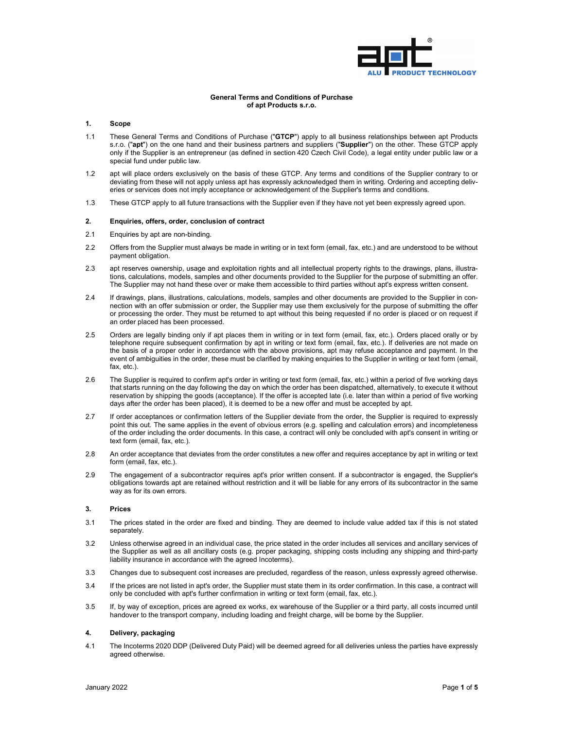

### **General Terms and Conditions of Purchase of apt Products s.r.o.**

### **1. Scope**

- 1.1 These General Terms and Conditions of Purchase ("**GTCP**") apply to all business relationships between apt Products s.r.o. ("**apt**") on the one hand and their business partners and suppliers ("**Supplier**") on the other. These GTCP apply only if the Supplier is an entrepreneur (as defined in section 420 Czech Civil Code), a legal entity under public law or a special fund under public law.
- 1.2 apt will place orders exclusively on the basis of these GTCP. Any terms and conditions of the Supplier contrary to or deviating from these will not apply unless apt has expressly acknowledged them in writing. Ordering and accepting deliveries or services does not imply acceptance or acknowledgement of the Supplier's terms and conditions.
- 1.3 These GTCP apply to all future transactions with the Supplier even if they have not yet been expressly agreed upon.

#### **2. Enquiries, offers, order, conclusion of contract**

- 2.1 Enquiries by apt are non-binding.
- 2.2 Offers from the Supplier must always be made in writing or in text form (email, fax, etc.) and are understood to be without payment obligation.
- 2.3 apt reserves ownership, usage and exploitation rights and all intellectual property rights to the drawings, plans, illustrations, calculations, models, samples and other documents provided to the Supplier for the purpose of submitting an offer. The Supplier may not hand these over or make them accessible to third parties without apt's express written consent.
- 2.4 If drawings, plans, illustrations, calculations, models, samples and other documents are provided to the Supplier in connection with an offer submission or order, the Supplier may use them exclusively for the purpose of submitting the offer or processing the order. They must be returned to apt without this being requested if no order is placed or on request if an order placed has been processed.
- 2.5 Orders are legally binding only if apt places them in writing or in text form (email, fax, etc.). Orders placed orally or by telephone require subsequent confirmation by apt in writing or text form (email, fax, etc.). If deliveries are not made on the basis of a proper order in accordance with the above provisions, apt may refuse acceptance and payment. In the event of ambiguities in the order, these must be clarified by making enquiries to the Supplier in writing or text form (email, fax, etc.).
- 2.6 The Supplier is required to confirm apt's order in writing or text form (email, fax, etc.) within a period of five working days that starts running on the day following the day on which the order has been dispatched, alternatively, to execute it without reservation by shipping the goods (acceptance). If the offer is accepted late (i.e. later than within a period of five working days after the order has been placed), it is deemed to be a new offer and must be accepted by apt.
- 2.7 If order acceptances or confirmation letters of the Supplier deviate from the order, the Supplier is required to expressly point this out. The same applies in the event of obvious errors (e.g. spelling and calculation errors) and incompleteness of the order including the order documents. In this case, a contract will only be concluded with apt's consent in writing or text form (email, fax, etc.).
- 2.8 An order acceptance that deviates from the order constitutes a new offer and requires acceptance by apt in writing or text form (email, fax, etc.).
- 2.9 The engagement of a subcontractor requires apt's prior written consent. If a subcontractor is engaged, the Supplier's obligations towards apt are retained without restriction and it will be liable for any errors of its subcontractor in the same way as for its own errors.

### **3. Prices**

- 3.1 The prices stated in the order are fixed and binding. They are deemed to include value added tax if this is not stated separately.
- 3.2 Unless otherwise agreed in an individual case, the price stated in the order includes all services and ancillary services of the Supplier as well as all ancillary costs (e.g. proper packaging, shipping costs including any shipping and third-party liability insurance in accordance with the agreed Incoterms).
- 3.3 Changes due to subsequent cost increases are precluded, regardless of the reason, unless expressly agreed otherwise.
- 3.4 If the prices are not listed in apt's order, the Supplier must state them in its order confirmation. In this case, a contract will only be concluded with apt's further confirmation in writing or text form (email, fax, etc.).
- 3.5 If, by way of exception, prices are agreed ex works, ex warehouse of the Supplier or a third party, all costs incurred until handover to the transport company, including loading and freight charge, will be borne by the Supplier.

#### **4. Delivery, packaging**

4.1 The Incoterms 2020 DDP (Delivered Duty Paid) will be deemed agreed for all deliveries unless the parties have expressly agreed otherwise.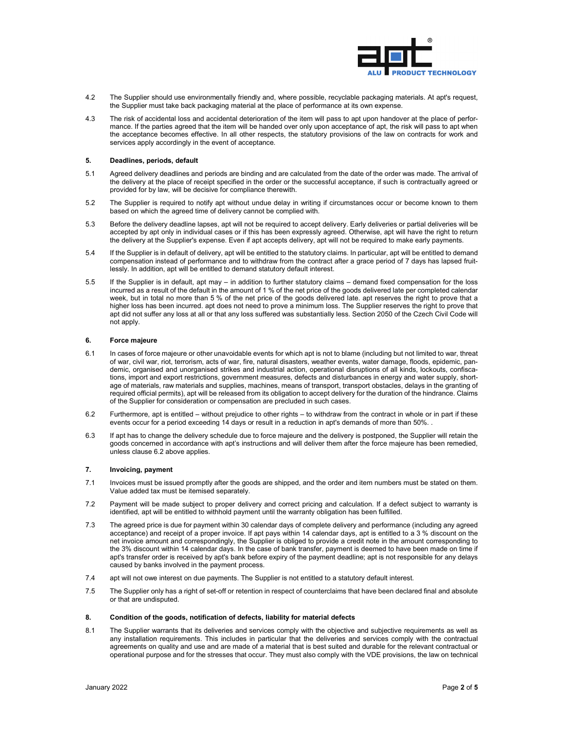

- 4.2 The Supplier should use environmentally friendly and, where possible, recyclable packaging materials. At apt's request, the Supplier must take back packaging material at the place of performance at its own expense.
- 4.3 The risk of accidental loss and accidental deterioration of the item will pass to apt upon handover at the place of performance. If the parties agreed that the item will be handed over only upon acceptance of apt, the risk will pass to apt when the acceptance becomes effective. In all other respects, the statutory provisions of the law on contracts for work and services apply accordingly in the event of acceptance.

### **5. Deadlines, periods, default**

- 5.1 Agreed delivery deadlines and periods are binding and are calculated from the date of the order was made. The arrival of the delivery at the place of receipt specified in the order or the successful acceptance, if such is contractually agreed or provided for by law, will be decisive for compliance therewith.
- 5.2 The Supplier is required to notify apt without undue delay in writing if circumstances occur or become known to them based on which the agreed time of delivery cannot be complied with.
- 5.3 Before the delivery deadline lapses, apt will not be required to accept delivery. Early deliveries or partial deliveries will be accepted by apt only in individual cases or if this has been expressly agreed. Otherwise, apt will have the right to return the delivery at the Supplier's expense. Even if apt accepts delivery, apt will not be required to make early payments.
- 5.4 If the Supplier is in default of delivery, apt will be entitled to the statutory claims. In particular, apt will be entitled to demand compensation instead of performance and to withdraw from the contract after a grace period of 7 days has lapsed fruitlessly. In addition, apt will be entitled to demand statutory default interest.
- 5.5 If the Supplier is in default, apt may in addition to further statutory claims demand fixed compensation for the loss incurred as a result of the default in the amount of 1 % of the net price of the goods delivered late per completed calendar week, but in total no more than 5 % of the net price of the goods delivered late. apt reserves the right to prove that a higher loss has been incurred. apt does not need to prove a minimum loss. The Supplier reserves the right to prove that apt did not suffer any loss at all or that any loss suffered was substantially less. Section 2050 of the Czech Civil Code will not apply.

#### **6. Force majeure**

- 6.1 In cases of force majeure or other unavoidable events for which apt is not to blame (including but not limited to war, threat of war, civil war, riot, terrorism, acts of war, fire, natural disasters, weather events, water damage, floods, epidemic, pandemic, organised and unorganised strikes and industrial action, operational disruptions of all kinds, lockouts, confiscations, import and export restrictions, government measures, defects and disturbances in energy and water supply, shortage of materials, raw materials and supplies, machines, means of transport, transport obstacles, delays in the granting of required official permits), apt will be released from its obligation to accept delivery for the duration of the hindrance. Claims of the Supplier for consideration or compensation are precluded in such cases.
- 6.2 Furthermore, apt is entitled without prejudice to other rights to withdraw from the contract in whole or in part if these events occur for a period exceeding 14 days or result in a reduction in apt's demands of more than 50%. .
- 6.3 If apt has to change the delivery schedule due to force majeure and the delivery is postponed, the Supplier will retain the goods concerned in accordance with apt's instructions and will deliver them after the force majeure has been remedied, unless clause 6.2 above applies.

# **7. Invoicing, payment**

- 7.1 Invoices must be issued promptly after the goods are shipped, and the order and item numbers must be stated on them. Value added tax must be itemised separately.
- 7.2 Payment will be made subject to proper delivery and correct pricing and calculation. If a defect subject to warranty is identified, apt will be entitled to withhold payment until the warranty obligation has been fulfilled.
- 7.3 The agreed price is due for payment within 30 calendar days of complete delivery and performance (including any agreed acceptance) and receipt of a proper invoice. If apt pays within 14 calendar days, apt is entitled to a 3 % discount on the net invoice amount and correspondingly, the Supplier is obliged to provide a credit note in the amount corresponding to the 3% discount within 14 calendar days. In the case of bank transfer, payment is deemed to have been made on time if apt's transfer order is received by apt's bank before expiry of the payment deadline; apt is not responsible for any delays caused by banks involved in the payment process.
- 7.4 apt will not owe interest on due payments. The Supplier is not entitled to a statutory default interest.
- 7.5 The Supplier only has a right of set-off or retention in respect of counterclaims that have been declared final and absolute or that are undisputed.

### **8. Condition of the goods, notification of defects, liability for material defects**

8.1 The Supplier warrants that its deliveries and services comply with the objective and subjective requirements as well as any installation requirements. This includes in particular that the deliveries and services comply with the contractual agreements on quality and use and are made of a material that is best suited and durable for the relevant contractual or operational purpose and for the stresses that occur. They must also comply with the VDE provisions, the law on technical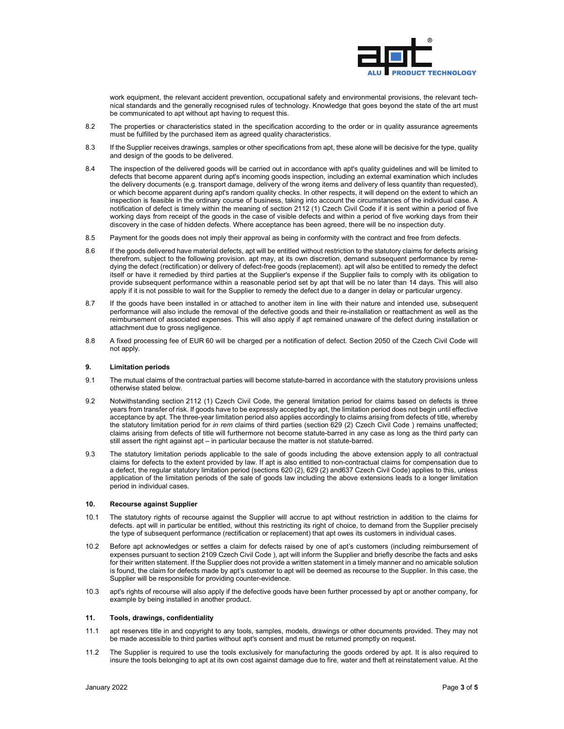

work equipment, the relevant accident prevention, occupational safety and environmental provisions, the relevant technical standards and the generally recognised rules of technology. Knowledge that goes beyond the state of the art must be communicated to apt without apt having to request this.

- 8.2 The properties or characteristics stated in the specification according to the order or in quality assurance agreements must be fulfilled by the purchased item as agreed quality characteristics.
- 8.3 If the Supplier receives drawings, samples or other specifications from apt, these alone will be decisive for the type, quality and design of the goods to be delivered.
- 8.4 The inspection of the delivered goods will be carried out in accordance with apt's quality guidelines and will be limited to defects that become apparent during apt's incoming goods inspection, including an external examination which includes the delivery documents (e.g. transport damage, delivery of the wrong items and delivery of less quantity than requested), or which become apparent during apt's random quality checks. In other respects, it will depend on the extent to which an inspection is feasible in the ordinary course of business, taking into account the circumstances of the individual case. A notification of defect is timely within the meaning of section 2112 (1) Czech Civil Code if it is sent within a period of five working days from receipt of the goods in the case of visible defects and within a period of five working days from their discovery in the case of hidden defects. Where acceptance has been agreed, there will be no inspection duty.
- 8.5 Payment for the goods does not imply their approval as being in conformity with the contract and free from defects.
- 8.6 If the goods delivered have material defects, apt will be entitled without restriction to the statutory claims for defects arising therefrom, subject to the following provision. apt may, at its own discretion, demand subsequent performance by remedying the defect (rectification) or delivery of defect-free goods (replacement). apt will also be entitled to remedy the defect itself or have it remedied by third parties at the Supplier's expense if the Supplier fails to comply with its obligation to provide subsequent performance within a reasonable period set by apt that will be no later than 14 days. This will also apply if it is not possible to wait for the Supplier to remedy the defect due to a danger in delay or particular urgency.
- 8.7 If the goods have been installed in or attached to another item in line with their nature and intended use, subsequent performance will also include the removal of the defective goods and their re-installation or reattachment as well as the reimbursement of associated expenses. This will also apply if apt remained unaware of the defect during installation or attachment due to gross negligence.
- 8.8 A fixed processing fee of EUR 60 will be charged per a notification of defect. Section 2050 of the Czech Civil Code will not apply.

## **9. Limitation periods**

- 9.1 The mutual claims of the contractual parties will become statute-barred in accordance with the statutory provisions unless otherwise stated below.
- 9.2 Notwithstanding section 2112 (1) Czech Civil Code, the general limitation period for claims based on defects is three years from transfer of risk. If goods have to be expressly accepted by apt, the limitation period does not begin until effective acceptance by apt. The three-year limitation period also applies accordingly to claims arising from defects of title, whereby the statutory limitation period for *in rem* claims of third parties (section 629 (2) Czech Civil Code ) remains unaffected; claims arising from defects of title will furthermore not become statute-barred in any case as long as the third party can still assert the right against apt – in particular because the matter is not statute-barred.
- 9.3 The statutory limitation periods applicable to the sale of goods including the above extension apply to all contractual claims for defects to the extent provided by law. If apt is also entitled to non-contractual claims for compensation due to a defect, the regular statutory limitation period (sections 620 (2), 629 (2) and637 Czech Civil Code) applies to this, unless application of the limitation periods of the sale of goods law including the above extensions leads to a longer limitation period in individual cases.

#### **10. Recourse against Supplier**

- 10.1 The statutory rights of recourse against the Supplier will accrue to apt without restriction in addition to the claims for defects. apt will in particular be entitled, without this restricting its right of choice, to demand from the Supplier precisely the type of subsequent performance (rectification or replacement) that apt owes its customers in individual cases.
- 10.2 Before apt acknowledges or settles a claim for defects raised by one of apt's customers (including reimbursement of expenses pursuant to section 2109 Czech Civil Code ), apt will inform the Supplier and briefly describe the facts and asks for their written statement. If the Supplier does not provide a written statement in a timely manner and no amicable solution is found, the claim for defects made by apt's customer to apt will be deemed as recourse to the Supplier. In this case, the Supplier will be responsible for providing counter-evidence.
- 10.3 apt's rights of recourse will also apply if the defective goods have been further processed by apt or another company, for example by being installed in another product.

## **11. Tools, drawings, confidentiality**

- 11.1 apt reserves title in and copyright to any tools, samples, models, drawings or other documents provided. They may not be made accessible to third parties without apt's consent and must be returned promptly on request.
- 11.2 The Supplier is required to use the tools exclusively for manufacturing the goods ordered by apt. It is also required to insure the tools belonging to apt at its own cost against damage due to fire, water and theft at reinstatement value. At the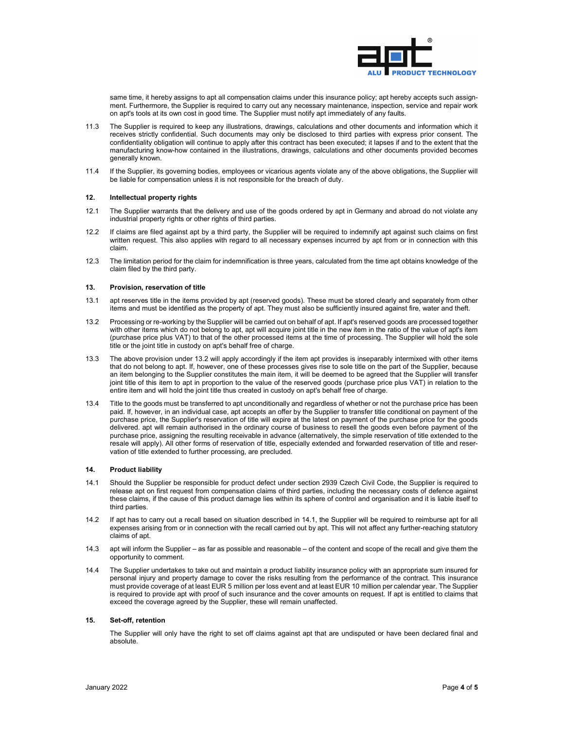

same time, it hereby assigns to apt all compensation claims under this insurance policy; apt hereby accepts such assignment. Furthermore, the Supplier is required to carry out any necessary maintenance, inspection, service and repair work on apt's tools at its own cost in good time. The Supplier must notify apt immediately of any faults.

- 11.3 The Supplier is required to keep any illustrations, drawings, calculations and other documents and information which it receives strictly confidential. Such documents may only be disclosed to third parties with express prior consent. The confidentiality obligation will continue to apply after this contract has been executed; it lapses if and to the extent that the manufacturing know-how contained in the illustrations, drawings, calculations and other documents provided becomes generally known.
- 11.4 If the Supplier, its governing bodies, employees or vicarious agents violate any of the above obligations, the Supplier will be liable for compensation unless it is not responsible for the breach of duty.

## **12. Intellectual property rights**

- 12.1 The Supplier warrants that the delivery and use of the goods ordered by apt in Germany and abroad do not violate any industrial property rights or other rights of third parties.
- 12.2 If claims are filed against apt by a third party, the Supplier will be required to indemnify apt against such claims on first written request. This also applies with regard to all necessary expenses incurred by apt from or in connection with this claim.
- 12.3 The limitation period for the claim for indemnification is three years, calculated from the time apt obtains knowledge of the claim filed by the third party.

## **13. Provision, reservation of title**

- 13.1 apt reserves title in the items provided by apt (reserved goods). These must be stored clearly and separately from other items and must be identified as the property of apt. They must also be sufficiently insured against fire, water and theft.
- 13.2 Processing or re-working by the Supplier will be carried out on behalf of apt. If apt's reserved goods are processed together with other items which do not belong to apt, apt will acquire joint title in the new item in the ratio of the value of apt's item (purchase price plus VAT) to that of the other processed items at the time of processing. The Supplier will hold the sole title or the joint title in custody on apt's behalf free of charge.
- 13.3 The above provision under 13.2 will apply accordingly if the item apt provides is inseparably intermixed with other items that do not belong to apt. If, however, one of these processes gives rise to sole title on the part of the Supplier, because an item belonging to the Supplier constitutes the main item, it will be deemed to be agreed that the Supplier will transfer joint title of this item to apt in proportion to the value of the reserved goods (purchase price plus VAT) in relation to the entire item and will hold the joint title thus created in custody on apt's behalf free of charge.
- 13.4 Title to the goods must be transferred to apt unconditionally and regardless of whether or not the purchase price has been paid. If, however, in an individual case, apt accepts an offer by the Supplier to transfer title conditional on payment of the purchase price, the Supplier's reservation of title will expire at the latest on payment of the purchase price for the goods delivered. apt will remain authorised in the ordinary course of business to resell the goods even before payment of the purchase price, assigning the resulting receivable in advance (alternatively, the simple reservation of title extended to the resale will apply). All other forms of reservation of title, especially extended and forwarded reservation of title and reservation of title extended to further processing, are precluded.

## **14. Product liability**

- 14.1 Should the Supplier be responsible for product defect under section 2939 Czech Civil Code, the Supplier is required to release apt on first request from compensation claims of third parties, including the necessary costs of defence against these claims, if the cause of this product damage lies within its sphere of control and organisation and it is liable itself to third parties.
- 14.2 If apt has to carry out a recall based on situation described in 14.1, the Supplier will be required to reimburse apt for all expenses arising from or in connection with the recall carried out by apt. This will not affect any further-reaching statutory claims of apt.
- 14.3 apt will inform the Supplier as far as possible and reasonable of the content and scope of the recall and give them the opportunity to comment.
- 14.4 The Supplier undertakes to take out and maintain a product liability insurance policy with an appropriate sum insured for personal injury and property damage to cover the risks resulting from the performance of the contract. This insurance must provide coverage of at least EUR 5 million per loss event and at least EUR 10 million per calendar year. The Supplier is required to provide apt with proof of such insurance and the cover amounts on request. If apt is entitled to claims that exceed the coverage agreed by the Supplier, these will remain unaffected.

### **15. Set-off, retention**

The Supplier will only have the right to set off claims against apt that are undisputed or have been declared final and absolute.